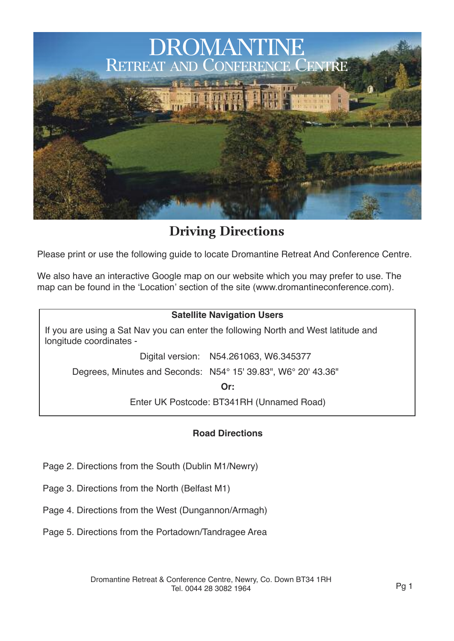

**Driving Directions**

Please print or use the following guide to locate Dromantine Retreat And Conference Centre.

We also have an interactive Google map on our website which you may prefer to use. The map can be found in the 'Location' section of the site (www.dromantineconference.com).

#### **Satellite Navigation Users**

If you are using a Sat Nav you can enter the following North and West latitude and longitude coordinates -

Digital version: N54.261063, W6.345377

Degrees, Minutes and Seconds: N54° 15' 39.83", W6° 20' 43.36"

**Or:**

Enter UK Postcode: BT341RH (Unnamed Road)

#### **Road Directions**

- Page 2. Directions from the South (Dublin M1/Newry)
- Page 3. Directions from the North (Belfast M1)
- Page 4. Directions from the West (Dungannon/Armagh)
- Page 5. Directions from the Portadown/Tandragee Area

Dromantine Retreat & Conference Centre, Newry, Co. Down BT34 1RH Tel. 0044 28 3082 1964 Pg 1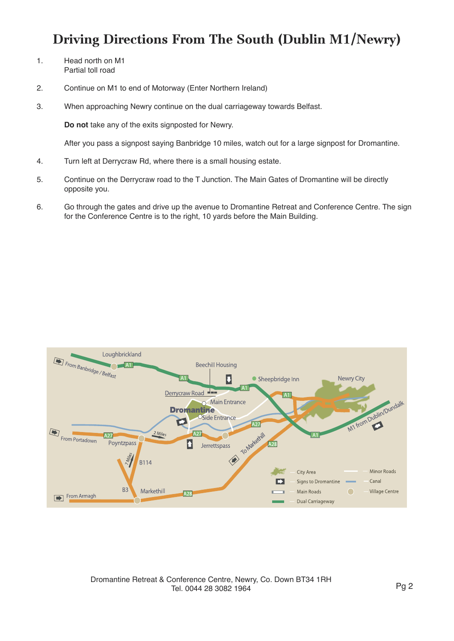# **Driving Directions From The South (Dublin M1/Newry)**

- 1. Head north on M1 Partial toll road
- 2. Continue on M1 to end of Motorway (Enter Northern Ireland)
- 3. When approaching Newry continue on the dual carriageway towards Belfast.

**Do not** take any of the exits signposted for Newry.

After you pass a signpost saying Banbridge 10 miles, watch out for a large signpost for Dromantine.

- 4. Turn left at Derrycraw Rd, where there is a small housing estate.
- 5. Continue on the Derrycraw road to the T Junction. The Main Gates of Dromantine will be directly opposite you.
- 6. Go through the gates and drive up the avenue to Dromantine Retreat and Conference Centre. The sign for the Conference Centre is to the right, 10 yards before the Main Building.



Dromantine Retreat & Conference Centre, Newry, Co. Down BT34 1RH Tel. 0044 28 3082 1964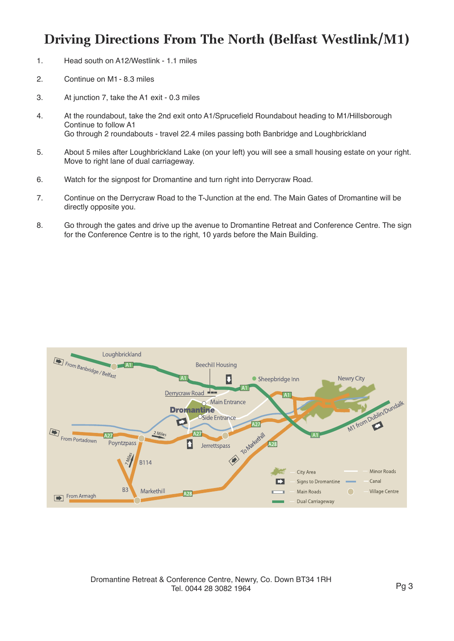## **Driving Directions From The North (Belfast Westlink/M1)**

- 1. Head south on A12/Westlink 1.1 miles
- 2. Continue on M1 8.3 miles
- 3. At junction 7, take the A1 exit 0.3 miles
- 4. At the roundabout, take the 2nd exit onto A1/Sprucefield Roundabout heading to M1/Hillsborough Continue to follow A1 Go through 2 roundabouts - travel 22.4 miles passing both Banbridge and Loughbrickland
- 5. About 5 miles after Loughbrickland Lake (on your left) you will see a small housing estate on your right. Move to right lane of dual carriageway.
- 6. Watch for the signpost for Dromantine and turn right into Derrycraw Road.
- 7. Continue on the Derrycraw Road to the T-Junction at the end. The Main Gates of Dromantine will be directly opposite you.
- 8. Go through the gates and drive up the avenue to Dromantine Retreat and Conference Centre. The sign for the Conference Centre is to the right, 10 yards before the Main Building.

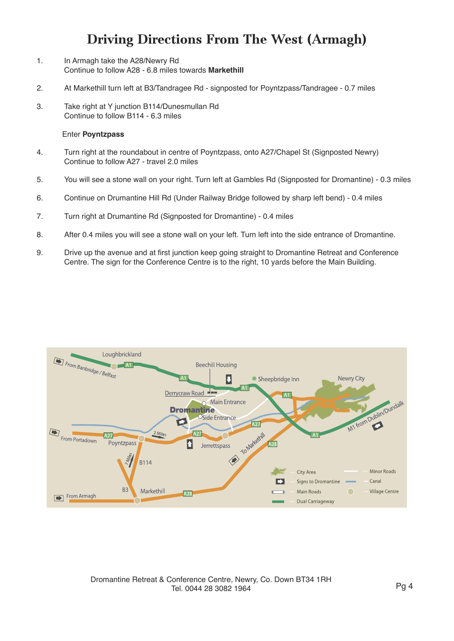## **Driving Directions From The West (Armagh)**

- 1. In Armagh take the A28/Newry Rd Continue to follow A28 - 6.8 miles towards **Markethill**
- 2. At Markethill turn left at B3/Tandragee Rd signposted for Poyntzpass/Tandragee 0.7 miles
- 3. Take right at Y junction B114/Dunesmullan Rd Continue to follow B114 - 6.3 miles

#### Enter **Poyntzpass**

- 4. Turn right at the roundabout in centre of Poyntzpass, onto A27/Chapel St (Signposted Newry) Continue to follow A27 - travel 2.0 miles
- 5. You will see a stone wall on your right. Turn left at Gambles Rd (Signposted for Dromantine) 0.3 miles
- 6. Continue on Drumantine Hill Rd (Under Railway Bridge followed by sharp left bend) 0.4 miles
- 7. Turn right at Drumantine Rd (Signposted for Dromantine) 0.4 miles
- 8. After 0.4 miles you will see a stone wall on your left. Turn left into the side entrance of Dromantine.
- 9. Drive up the avenue and at first junction keep going straight to Dromantine Retreat and Conference Centre. The sign for the Conference Centre is to the right, 10 yards before the Main Building.